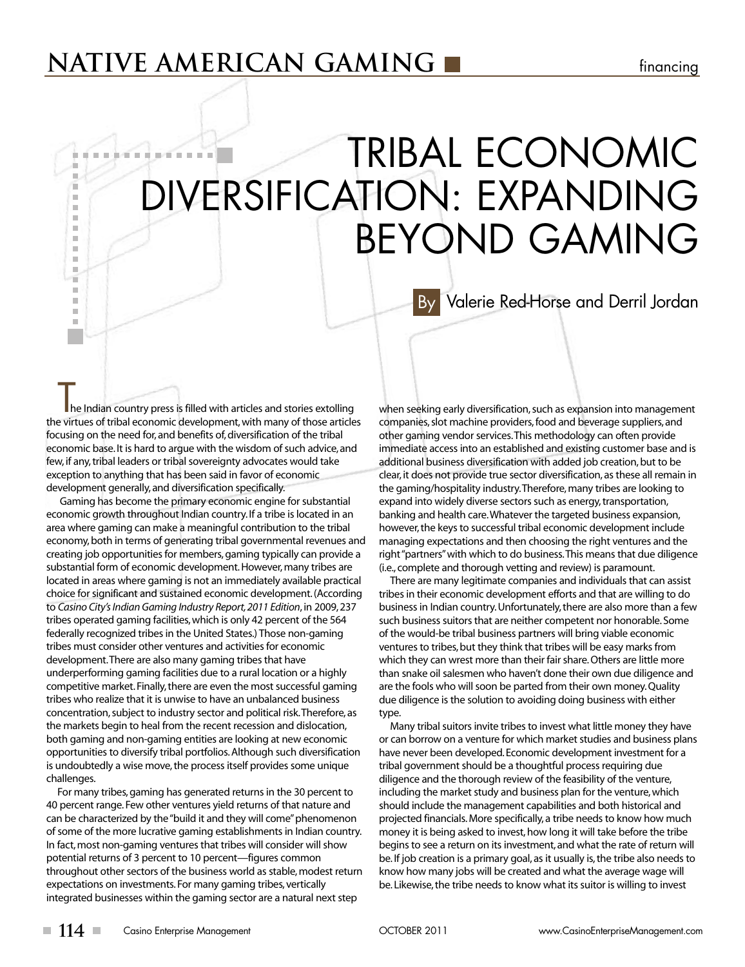## **NATIVE AMERICAN GAMING native and** *s* **financing**

# TRIBAL ECONOMIC *BASE EXPERIENCE* DIVERSIFICATION: EXPANDING BEYOND GAMING

Valerie Red-Horse and Derril Jordan By

he Indian country press is filled with articles and stories extolling the virtues of tribal economic development,with many of those articles focusing on the need for, and benefits of,diversification of the tribal economic base. It is hard to argue with the wisdom of such advice, and few, if any, tribal leaders or tribal sovereignty advocates would take exception to anything that has been said in favor of economic development generally, and diversification specifically.

a. a. m. ٠  $\blacksquare$ × m.  $\mathbb{R}^d$  $\mathbb{R}^2$ ш m. m, т  $\mathbb{R}^d$ ш m.  $\blacksquare$ 

Gaming has become the primary economic engine for substantial economic growth throughout Indian country. If a tribe is located in an area where gaming can make a meaningful contribution to the tribal economy, both in terms of generating tribal governmental revenues and creating job opportunities for members, gaming typically can provide a substantial form of economic development. However, many tribes are located in areas where gaming is not an immediately available practical choice for significant and sustained economic development. (According to *Casino City'sIndian Gaming Industry Report,2011 Edition*, in 2009,237 tribes operated gaming facilities,which is only 42 percent of the 564 federally recognized tribes in the United States.) Those non-gaming tribes must consider other ventures and activities for economic development. There are also many gaming tribes that have underperforming gaming facilities due to a rural location or a highly competitive market. Finally, there are even the most successful gaming tribes who realize that it is unwise to have an unbalanced business concentration, subject to industry sector and political risk. Therefore, as the markets begin to heal from the recent recession and dislocation, both gaming and non-gaming entities are looking at new economic opportunities to diversify tribal portfolios. Although such diversification is undoubtedly a wise move, the process itself provides some unique challenges.

For many tribes, gaming has generated returns in the 30 percent to 40 percent range. Few other ventures yield returns of that nature and can be characterized by the "build it and they will come" phenomenon of some of the more lucrative gaming establishments in Indian country. In fact, most non-gaming ventures that tribes will consider will show potential returns of 3 percent to 10 percent—figures common throughout other sectors of the business world as stable, modest return expectations on investments.For many gaming tribes, vertically integrated businesses within the gaming sector are a natural next step

when seeking early diversification, such as expansion into management companies, slot machine providers, food and beverage suppliers, and other gaming vendor services. This methodology can often provide immediate access into an established and existing customer base and is additional business diversification with added job creation, but to be clear, it does not provide true sector diversification, as these all remain in the gaming/hospitality industry. Therefore, many tribes are looking to expand into widely diverse sectors such as energy, transportation, banking and health care.Whatever the targeted business expansion, however, the keys to successful tribal economic development include managing expectations and then choosing the right ventures and the right "partners" with which to do business. This means that due diligence (i.e., complete and thorough vetting and review) is paramount.

There are many legitimate companies and individuals that can assist tribes in their economic development efforts and that are willing to do business in Indian country. Unfortunately, there are also more than a few such business suitors that are neither competent nor honorable. Some of the would-be tribal business partners will bring viable economic ventures to tribes, but they think that tribes will be easy marks from which they can wrest more than their fair share. Others are little more than snake oil salesmen who haven't done their own due diligence and are the fools who will soon be parted from their own money. Quality due diligence is the solution to avoiding doing business with either type.

Many tribal suitors invite tribes to invest what little money they have or can borrow on a venture for which market studies and business plans have never been developed. Economic development investment for a tribal government should be a thoughtful process requiring due diligence and the thorough review of the feasibility of the venture, including the market study and business plan for the venture, which should include the management capabilities and both historical and projected financials. More specifically, a tribe needs to know how much money it is being asked to invest, how long it will take before the tribe begins to see a return on its investment, and what the rate of return will be. If job creation is a primary goal, as it usually is, the tribe also needs to know how many jobs will be created and what the average wage will be. Likewise, the tribe needs to know what its suitor is willing to invest